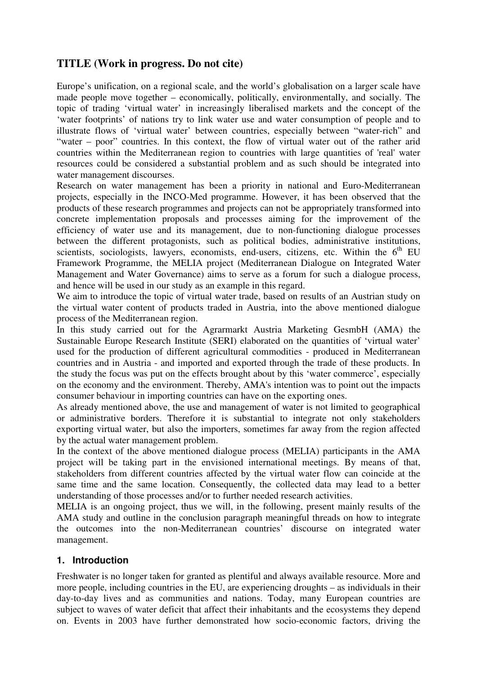# **TITLE (Work in progress. Do not cite)**

Europe's unification, on a regional scale, and the world's globalisation on a larger scale have made people move together – economically, politically, environmentally, and socially. The topic of trading 'virtual water' in increasingly liberalised markets and the concept of the 'water footprints' of nations try to link water use and water consumption of people and to illustrate flows of 'virtual water' between countries, especially between "water-rich" and "water – poor" countries. In this context, the flow of virtual water out of the rather arid countries within the Mediterranean region to countries with large quantities of 'real' water resources could be considered a substantial problem and as such should be integrated into water management discourses.

Research on water management has been a priority in national and Euro-Mediterranean projects, especially in the INCO-Med programme. However, it has been observed that the products of these research programmes and projects can not be appropriately transformed into concrete implementation proposals and processes aiming for the improvement of the efficiency of water use and its management, due to non-functioning dialogue processes between the different protagonists, such as political bodies, administrative institutions, scientists, sociologists, lawyers, economists, end-users, citizens, etc. Within the  $6<sup>th</sup>$  EU Framework Programme, the MELIA project (Mediterranean Dialogue on Integrated Water Management and Water Governance) aims to serve as a forum for such a dialogue process, and hence will be used in our study as an example in this regard.

We aim to introduce the topic of virtual water trade, based on results of an Austrian study on the virtual water content of products traded in Austria, into the above mentioned dialogue process of the Mediterranean region.

In this study carried out for the Agrarmarkt Austria Marketing GesmbH (AMA) the Sustainable Europe Research Institute (SERI) elaborated on the quantities of 'virtual water' used for the production of different agricultural commodities - produced in Mediterranean countries and in Austria - and imported and exported through the trade of these products. In the study the focus was put on the effects brought about by this 'water commerce', especially on the economy and the environment. Thereby, AMA's intention was to point out the impacts consumer behaviour in importing countries can have on the exporting ones.

As already mentioned above, the use and management of water is not limited to geographical or administrative borders. Therefore it is substantial to integrate not only stakeholders exporting virtual water, but also the importers, sometimes far away from the region affected by the actual water management problem.

In the context of the above mentioned dialogue process (MELIA) participants in the AMA project will be taking part in the envisioned international meetings. By means of that, stakeholders from different countries affected by the virtual water flow can coincide at the same time and the same location. Consequently, the collected data may lead to a better understanding of those processes and/or to further needed research activities.

MELIA is an ongoing project, thus we will, in the following, present mainly results of the AMA study and outline in the conclusion paragraph meaningful threads on how to integrate the outcomes into the non-Mediterranean countries' discourse on integrated water management.

# **1. Introduction**

Freshwater is no longer taken for granted as plentiful and always available resource. More and more people, including countries in the EU, are experiencing droughts – as individuals in their day-to-day lives and as communities and nations. Today, many European countries are subject to waves of water deficit that affect their inhabitants and the ecosystems they depend on. Events in 2003 have further demonstrated how socio-economic factors, driving the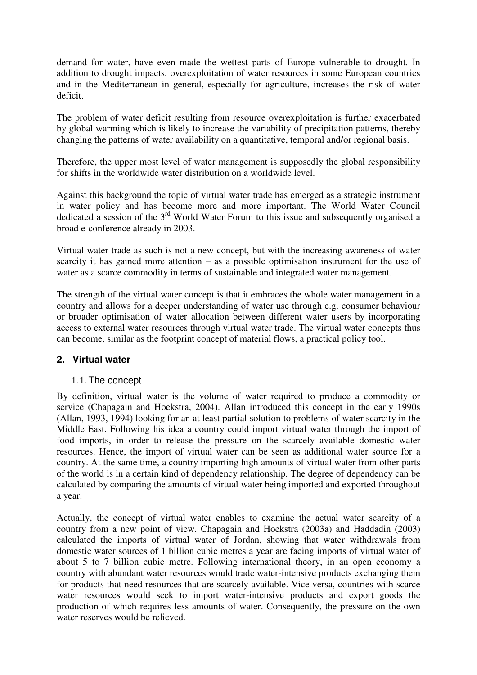demand for water, have even made the wettest parts of Europe vulnerable to drought. In addition to drought impacts, overexploitation of water resources in some European countries and in the Mediterranean in general, especially for agriculture, increases the risk of water deficit.

The problem of water deficit resulting from resource overexploitation is further exacerbated by global warming which is likely to increase the variability of precipitation patterns, thereby changing the patterns of water availability on a quantitative, temporal and/or regional basis.

Therefore, the upper most level of water management is supposedly the global responsibility for shifts in the worldwide water distribution on a worldwide level.

Against this background the topic of virtual water trade has emerged as a strategic instrument in water policy and has become more and more important. The World Water Council dedicated a session of the 3<sup>rd</sup> World Water Forum to this issue and subsequently organised a broad e-conference already in 2003.

Virtual water trade as such is not a new concept, but with the increasing awareness of water scarcity it has gained more attention – as a possible optimisation instrument for the use of water as a scarce commodity in terms of sustainable and integrated water management.

The strength of the virtual water concept is that it embraces the whole water management in a country and allows for a deeper understanding of water use through e.g. consumer behaviour or broader optimisation of water allocation between different water users by incorporating access to external water resources through virtual water trade. The virtual water concepts thus can become, similar as the footprint concept of material flows, a practical policy tool.

# **2. Virtual water**

# 1.1. The concept

By definition, virtual water is the volume of water required to produce a commodity or service (Chapagain and Hoekstra, 2004). Allan introduced this concept in the early 1990s (Allan, 1993, 1994) looking for an at least partial solution to problems of water scarcity in the Middle East. Following his idea a country could import virtual water through the import of food imports, in order to release the pressure on the scarcely available domestic water resources. Hence, the import of virtual water can be seen as additional water source for a country. At the same time, a country importing high amounts of virtual water from other parts of the world is in a certain kind of dependency relationship. The degree of dependency can be calculated by comparing the amounts of virtual water being imported and exported throughout a year.

Actually, the concept of virtual water enables to examine the actual water scarcity of a country from a new point of view. Chapagain and Hoekstra (2003a) and Haddadin (2003) calculated the imports of virtual water of Jordan, showing that water withdrawals from domestic water sources of 1 billion cubic metres a year are facing imports of virtual water of about 5 to 7 billion cubic metre. Following international theory, in an open economy a country with abundant water resources would trade water-intensive products exchanging them for products that need resources that are scarcely available. Vice versa, countries with scarce water resources would seek to import water-intensive products and export goods the production of which requires less amounts of water. Consequently, the pressure on the own water reserves would be relieved.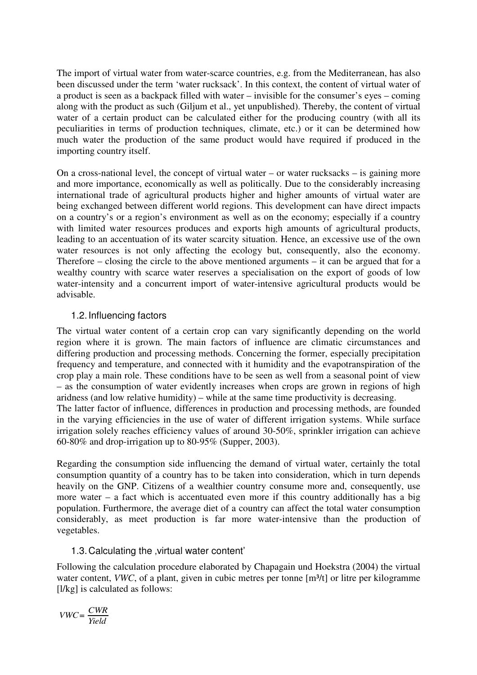The import of virtual water from water-scarce countries, e.g. from the Mediterranean, has also been discussed under the term 'water rucksack'. In this context, the content of virtual water of a product is seen as a backpack filled with water – invisible for the consumer's eyes – coming along with the product as such (Giljum et al., yet unpublished). Thereby, the content of virtual water of a certain product can be calculated either for the producing country (with all its peculiarities in terms of production techniques, climate, etc.) or it can be determined how much water the production of the same product would have required if produced in the importing country itself.

On a cross-national level, the concept of virtual water – or water rucksacks – is gaining more and more importance, economically as well as politically. Due to the considerably increasing international trade of agricultural products higher and higher amounts of virtual water are being exchanged between different world regions. This development can have direct impacts on a country's or a region's environment as well as on the economy; especially if a country with limited water resources produces and exports high amounts of agricultural products, leading to an accentuation of its water scarcity situation. Hence, an excessive use of the own water resources is not only affecting the ecology but, consequently, also the economy. Therefore – closing the circle to the above mentioned arguments – it can be argued that for a wealthy country with scarce water reserves a specialisation on the export of goods of low water-intensity and a concurrent import of water-intensive agricultural products would be advisable.

# 1.2. Influencing factors

The virtual water content of a certain crop can vary significantly depending on the world region where it is grown. The main factors of influence are climatic circumstances and differing production and processing methods. Concerning the former, especially precipitation frequency and temperature, and connected with it humidity and the evapotranspiration of the crop play a main role. These conditions have to be seen as well from a seasonal point of view – as the consumption of water evidently increases when crops are grown in regions of high aridness (and low relative humidity) – while at the same time productivity is decreasing. The latter factor of influence, differences in production and processing methods, are founded in the varying efficiencies in the use of water of different irrigation systems. While surface irrigation solely reaches efficiency values of around 30-50%, sprinkler irrigation can achieve

Regarding the consumption side influencing the demand of virtual water, certainly the total consumption quantity of a country has to be taken into consideration, which in turn depends heavily on the GNP. Citizens of a wealthier country consume more and, consequently, use more water – a fact which is accentuated even more if this country additionally has a big population. Furthermore, the average diet of a country can affect the total water consumption considerably, as meet production is far more water-intensive than the production of vegetables.

# 1.3. Calculating the , virtual water content'

60-80% and drop-irrigation up to 80-95% (Supper, 2003).

Following the calculation procedure elaborated by Chapagain und Hoekstra (2004) the virtual water content, *VWC*, of a plant, given in cubic metres per tonne [m<sup>3</sup>/t] or litre per kilogramme [ $1$ /kg] is calculated as follows:

$$
VWC = \frac{CWR}{Yield}
$$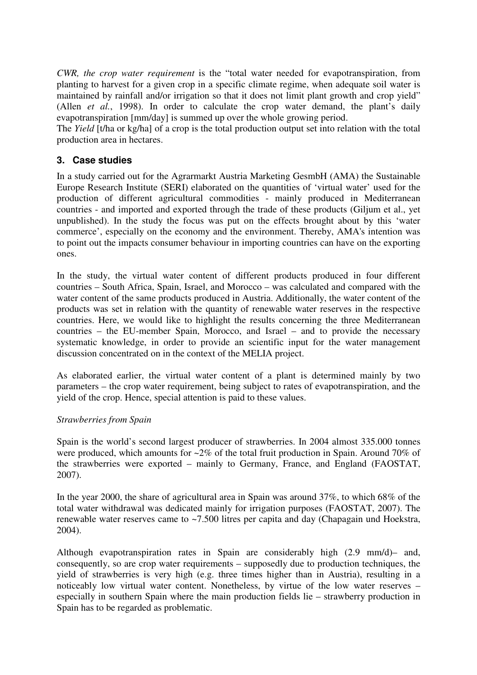*CWR, the crop water requirement* is the "total water needed for evapotranspiration, from planting to harvest for a given crop in a specific climate regime, when adequate soil water is maintained by rainfall and/or irrigation so that it does not limit plant growth and crop yield" (Allen *et al.*, 1998). In order to calculate the crop water demand, the plant's daily evapotranspiration [mm/day] is summed up over the whole growing period.

The *Yield* [t/ha or kg/ha] of a crop is the total production output set into relation with the total production area in hectares.

# **3. Case studies**

In a study carried out for the Agrarmarkt Austria Marketing GesmbH (AMA) the Sustainable Europe Research Institute (SERI) elaborated on the quantities of 'virtual water' used for the production of different agricultural commodities - mainly produced in Mediterranean countries - and imported and exported through the trade of these products (Giljum et al., yet unpublished). In the study the focus was put on the effects brought about by this 'water commerce', especially on the economy and the environment. Thereby, AMA's intention was to point out the impacts consumer behaviour in importing countries can have on the exporting ones.

In the study, the virtual water content of different products produced in four different countries – South Africa, Spain, Israel, and Morocco – was calculated and compared with the water content of the same products produced in Austria. Additionally, the water content of the products was set in relation with the quantity of renewable water reserves in the respective countries. Here, we would like to highlight the results concerning the three Mediterranean countries – the EU-member Spain, Morocco, and Israel – and to provide the necessary systematic knowledge, in order to provide an scientific input for the water management discussion concentrated on in the context of the MELIA project.

As elaborated earlier, the virtual water content of a plant is determined mainly by two parameters – the crop water requirement, being subject to rates of evapotranspiration, and the yield of the crop. Hence, special attention is paid to these values.

# *Strawberries from Spain*

Spain is the world's second largest producer of strawberries. In 2004 almost 335.000 tonnes were produced, which amounts for  $\sim 2\%$  of the total fruit production in Spain. Around 70% of the strawberries were exported – mainly to Germany, France, and England (FAOSTAT, 2007).

In the year 2000, the share of agricultural area in Spain was around 37%, to which 68% of the total water withdrawal was dedicated mainly for irrigation purposes (FAOSTAT, 2007). The renewable water reserves came to ~7.500 litres per capita and day (Chapagain und Hoekstra, 2004).

Although evapotranspiration rates in Spain are considerably high (2.9 mm/d)– and, consequently, so are crop water requirements – supposedly due to production techniques, the yield of strawberries is very high (e.g. three times higher than in Austria), resulting in a noticeably low virtual water content. Nonetheless, by virtue of the low water reserves – especially in southern Spain where the main production fields lie – strawberry production in Spain has to be regarded as problematic.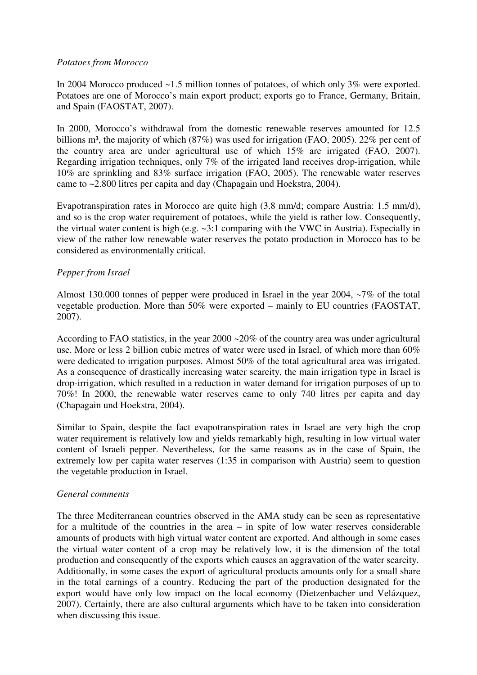#### *Potatoes from Morocco*

In 2004 Morocco produced ~1.5 million tonnes of potatoes, of which only 3% were exported. Potatoes are one of Morocco's main export product; exports go to France, Germany, Britain, and Spain (FAOSTAT, 2007).

In 2000, Morocco's withdrawal from the domestic renewable reserves amounted for 12.5 billions m<sup>3</sup>, the majority of which  $(87%)$  was used for irrigation (FAO, 2005). 22% per cent of the country area are under agricultural use of which 15% are irrigated (FAO, 2007). Regarding irrigation techniques, only 7% of the irrigated land receives drop-irrigation, while 10% are sprinkling and 83% surface irrigation (FAO, 2005). The renewable water reserves came to ~2.800 litres per capita and day (Chapagain und Hoekstra, 2004).

Evapotranspiration rates in Morocco are quite high (3.8 mm/d; compare Austria: 1.5 mm/d), and so is the crop water requirement of potatoes, while the yield is rather low. Consequently, the virtual water content is high (e.g. ~3:1 comparing with the VWC in Austria). Especially in view of the rather low renewable water reserves the potato production in Morocco has to be considered as environmentally critical.

# *Pepper from Israel*

Almost 130.000 tonnes of pepper were produced in Israel in the year 2004, ~7% of the total vegetable production. More than 50% were exported – mainly to EU countries (FAOSTAT, 2007).

According to FAO statistics, in the year 2000 ~20% of the country area was under agricultural use. More or less 2 billion cubic metres of water were used in Israel, of which more than 60% were dedicated to irrigation purposes. Almost 50% of the total agricultural area was irrigated. As a consequence of drastically increasing water scarcity, the main irrigation type in Israel is drop-irrigation, which resulted in a reduction in water demand for irrigation purposes of up to 70%! In 2000, the renewable water reserves came to only 740 litres per capita and day (Chapagain und Hoekstra, 2004).

Similar to Spain, despite the fact evapotranspiration rates in Israel are very high the crop water requirement is relatively low and yields remarkably high, resulting in low virtual water content of Israeli pepper. Nevertheless, for the same reasons as in the case of Spain, the extremely low per capita water reserves (1:35 in comparison with Austria) seem to question the vegetable production in Israel.

# *General comments*

The three Mediterranean countries observed in the AMA study can be seen as representative for a multitude of the countries in the area – in spite of low water reserves considerable amounts of products with high virtual water content are exported. And although in some cases the virtual water content of a crop may be relatively low, it is the dimension of the total production and consequently of the exports which causes an aggravation of the water scarcity. Additionally, in some cases the export of agricultural products amounts only for a small share in the total earnings of a country. Reducing the part of the production designated for the export would have only low impact on the local economy (Dietzenbacher und Velázquez, 2007). Certainly, there are also cultural arguments which have to be taken into consideration when discussing this issue.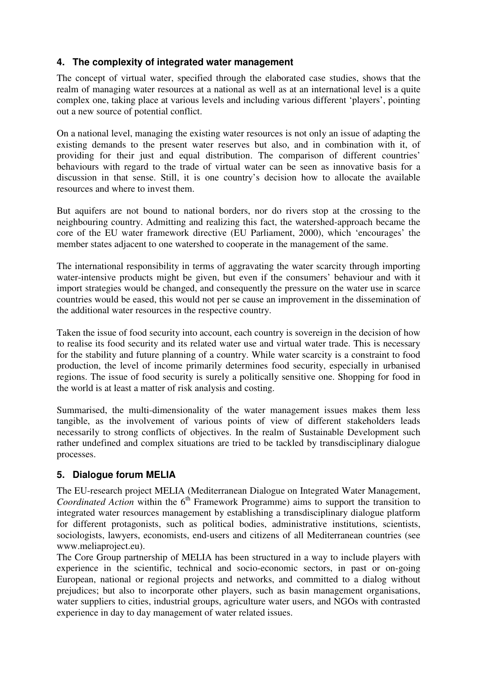# **4. The complexity of integrated water management**

The concept of virtual water, specified through the elaborated case studies, shows that the realm of managing water resources at a national as well as at an international level is a quite complex one, taking place at various levels and including various different 'players', pointing out a new source of potential conflict.

On a national level, managing the existing water resources is not only an issue of adapting the existing demands to the present water reserves but also, and in combination with it, of providing for their just and equal distribution. The comparison of different countries' behaviours with regard to the trade of virtual water can be seen as innovative basis for a discussion in that sense. Still, it is one country's decision how to allocate the available resources and where to invest them.

But aquifers are not bound to national borders, nor do rivers stop at the crossing to the neighbouring country. Admitting and realizing this fact, the watershed-approach became the core of the EU water framework directive (EU Parliament, 2000), which 'encourages' the member states adjacent to one watershed to cooperate in the management of the same.

The international responsibility in terms of aggravating the water scarcity through importing water-intensive products might be given, but even if the consumers' behaviour and with it import strategies would be changed, and consequently the pressure on the water use in scarce countries would be eased, this would not per se cause an improvement in the dissemination of the additional water resources in the respective country.

Taken the issue of food security into account, each country is sovereign in the decision of how to realise its food security and its related water use and virtual water trade. This is necessary for the stability and future planning of a country. While water scarcity is a constraint to food production, the level of income primarily determines food security, especially in urbanised regions. The issue of food security is surely a politically sensitive one. Shopping for food in the world is at least a matter of risk analysis and costing.

Summarised, the multi-dimensionality of the water management issues makes them less tangible, as the involvement of various points of view of different stakeholders leads necessarily to strong conflicts of objectives. In the realm of Sustainable Development such rather undefined and complex situations are tried to be tackled by transdisciplinary dialogue processes.

# **5. Dialogue forum MELIA**

The EU-research project MELIA (Mediterranean Dialogue on Integrated Water Management, *Coordinated Action* within the 6<sup>th</sup> Framework Programme) aims to support the transition to integrated water resources management by establishing a transdisciplinary dialogue platform for different protagonists, such as political bodies, administrative institutions, scientists, sociologists, lawyers, economists, end-users and citizens of all Mediterranean countries (see www.meliaproject.eu).

The Core Group partnership of MELIA has been structured in a way to include players with experience in the scientific, technical and socio-economic sectors, in past or on-going European, national or regional projects and networks, and committed to a dialog without prejudices; but also to incorporate other players, such as basin management organisations, water suppliers to cities, industrial groups, agriculture water users, and NGOs with contrasted experience in day to day management of water related issues.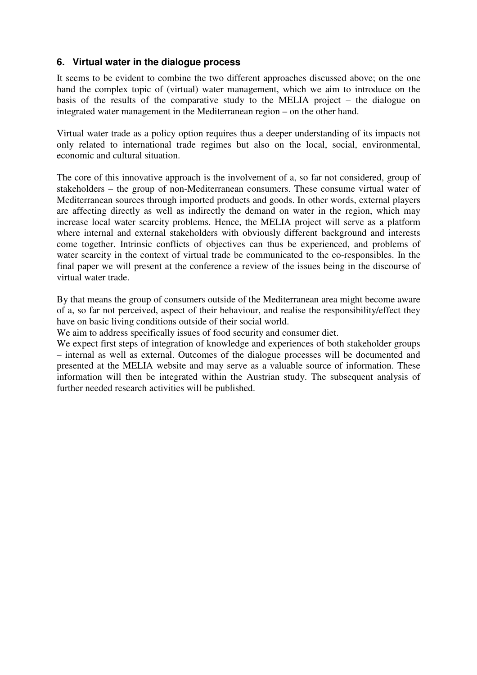# **6. Virtual water in the dialogue process**

It seems to be evident to combine the two different approaches discussed above; on the one hand the complex topic of (virtual) water management, which we aim to introduce on the basis of the results of the comparative study to the MELIA project – the dialogue on integrated water management in the Mediterranean region – on the other hand.

Virtual water trade as a policy option requires thus a deeper understanding of its impacts not only related to international trade regimes but also on the local, social, environmental, economic and cultural situation.

The core of this innovative approach is the involvement of a, so far not considered, group of stakeholders – the group of non-Mediterranean consumers. These consume virtual water of Mediterranean sources through imported products and goods. In other words, external players are affecting directly as well as indirectly the demand on water in the region, which may increase local water scarcity problems. Hence, the MELIA project will serve as a platform where internal and external stakeholders with obviously different background and interests come together. Intrinsic conflicts of objectives can thus be experienced, and problems of water scarcity in the context of virtual trade be communicated to the co-responsibles. In the final paper we will present at the conference a review of the issues being in the discourse of virtual water trade.

By that means the group of consumers outside of the Mediterranean area might become aware of a, so far not perceived, aspect of their behaviour, and realise the responsibility/effect they have on basic living conditions outside of their social world.

We aim to address specifically issues of food security and consumer diet.

We expect first steps of integration of knowledge and experiences of both stakeholder groups – internal as well as external. Outcomes of the dialogue processes will be documented and presented at the MELIA website and may serve as a valuable source of information. These information will then be integrated within the Austrian study. The subsequent analysis of further needed research activities will be published.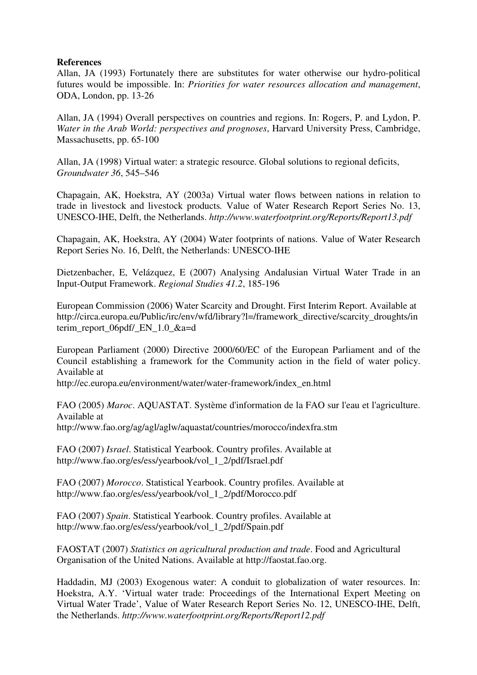#### **References**

Allan, JA (1993) Fortunately there are substitutes for water otherwise our hydro-political futures would be impossible. In: *Priorities for water resources allocation and management*, ODA, London, pp. 13-26

Allan, JA (1994) Overall perspectives on countries and regions. In: Rogers, P. and Lydon, P. *Water in the Arab World: perspectives and prognoses*, Harvard University Press, Cambridge, Massachusetts, pp. 65-100

Allan, JA (1998) Virtual water: a strategic resource. Global solutions to regional deficits, *Groundwater 36*, 545–546

Chapagain, AK, Hoekstra, AY (2003a) Virtual water flows between nations in relation to trade in livestock and livestock products*.* Value of Water Research Report Series No. 13, UNESCO-IHE, Delft, the Netherlands. *http://www.waterfootprint.org/Reports/Report13.pdf*

Chapagain, AK, Hoekstra, AY (2004) Water footprints of nations. Value of Water Research Report Series No. 16, Delft, the Netherlands: UNESCO-IHE

Dietzenbacher, E, Velázquez, E (2007) Analysing Andalusian Virtual Water Trade in an Input-Output Framework. *Regional Studies 41.2*, 185-196

European Commission (2006) Water Scarcity and Drought. First Interim Report. Available at http://circa.europa.eu/Public/irc/env/wfd/library?l=/framework\_directive/scarcity\_droughts/in terim\_report\_06pdf/\_EN\_1.0\_&a=d

European Parliament (2000) Directive 2000/60/EC of the European Parliament and of the Council establishing a framework for the Community action in the field of water policy. Available at

http://ec.europa.eu/environment/water/water-framework/index\_en.html

FAO (2005) *Maroc*. AQUASTAT. Système d'information de la FAO sur l'eau et l'agriculture. Available at http://www.fao.org/ag/agl/aglw/aquastat/countries/morocco/indexfra.stm

FAO (2007) *Israel*. Statistical Yearbook. Country profiles. Available at http://www.fao.org/es/ess/yearbook/vol\_1\_2/pdf/Israel.pdf

FAO (2007) *Morocco*. Statistical Yearbook. Country profiles. Available at http://www.fao.org/es/ess/yearbook/vol\_1\_2/pdf/Morocco.pdf

FAO (2007) *Spain*. Statistical Yearbook. Country profiles. Available at http://www.fao.org/es/ess/yearbook/vol\_1\_2/pdf/Spain.pdf

FAOSTAT (2007) *Statistics on agricultural production and trade*. Food and Agricultural Organisation of the United Nations. Available at http://faostat.fao.org.

Haddadin, MJ (2003) Exogenous water: A conduit to globalization of water resources. In: Hoekstra, A.Y. 'Virtual water trade: Proceedings of the International Expert Meeting on Virtual Water Trade', Value of Water Research Report Series No. 12, UNESCO-IHE, Delft, the Netherlands. *http://www.waterfootprint.org/Reports/Report12.pdf*